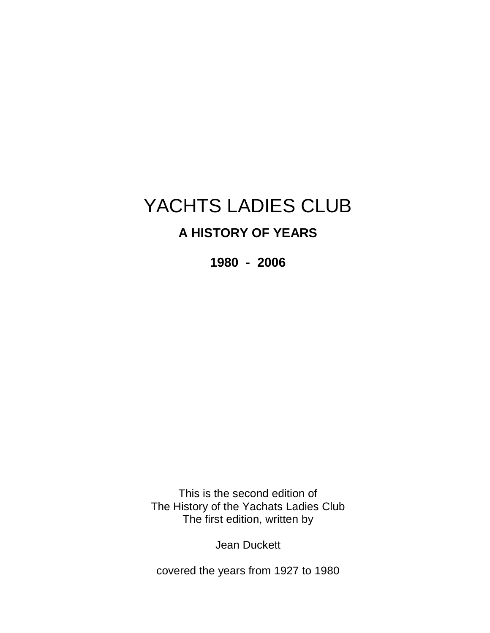# YACHTS LADIES CLUB

# **A HISTORY OF YEARS**

**1980 - 2006** 

This is the second edition of The History of the Yachats Ladies Club The first edition, written by

Jean Duckett

covered the years from 1927 to 1980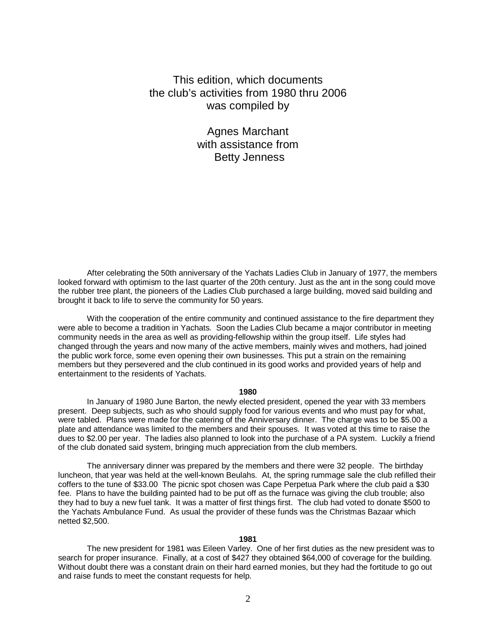# This edition, which documents the club's activities from 1980 thru 2006 was compiled by

Agnes Marchant with assistance from Betty Jenness

After celebrating the 50th anniversary of the Yachats Ladies Club in January of 1977, the members looked forward with optimism to the last quarter of the 20th century. Just as the ant in the song could move the rubber tree plant, the pioneers of the Ladies Club purchased a large building, moved said building and brought it back to life to serve the community for 50 years.

 With the cooperation of the entire community and continued assistance to the fire department they were able to become a tradition in Yachats. Soon the Ladies Club became a major contributor in meeting community needs in the area as well as providing-fellowship within the group itself. Life styles had changed through the years and now many of the active members, mainly wives and mothers, had joined the public work force, some even opening their own businesses. This put a strain on the remaining members but they persevered and the club continued in its good works and provided years of help and entertainment to the residents of Yachats.

#### **1980**

In January of 1980 June Barton, the newly elected president, opened the year with 33 members present. Deep subjects, such as who should supply food for various events and who must pay for what, were tabled. Plans were made for the catering of the Anniversary dinner. The charge was to be \$5.00 a plate and attendance was limited to the members and their spouses. It was voted at this time to raise the dues to \$2.00 per year. The ladies also planned to look into the purchase of a PA system. Luckily a friend of the club donated said system, bringing much appreciation from the club members.

The anniversary dinner was prepared by the members and there were 32 people. The birthday luncheon, that year was held at the well-known Beulahs. At, the spring rummage sale the club refilled their coffers to the tune of \$33.00 The picnic spot chosen was Cape Perpetua Park where the club paid a \$30 fee. Plans to have the building painted had to be put off as the furnace was giving the club trouble; also they had to buy a new fuel tank. It was a matter of first things first. The club had voted to donate \$500 to the Yachats Ambulance Fund. As usual the provider of these funds was the Christmas Bazaar which netted \$2,500.

#### **1981**

The new president for 1981 was Eileen Varley. One of her first duties as the new president was to search for proper insurance. Finally, at a cost of \$427 they obtained \$64,000 of coverage for the building. Without doubt there was a constant drain on their hard earned monies, but they had the fortitude to go out and raise funds to meet the constant requests for help.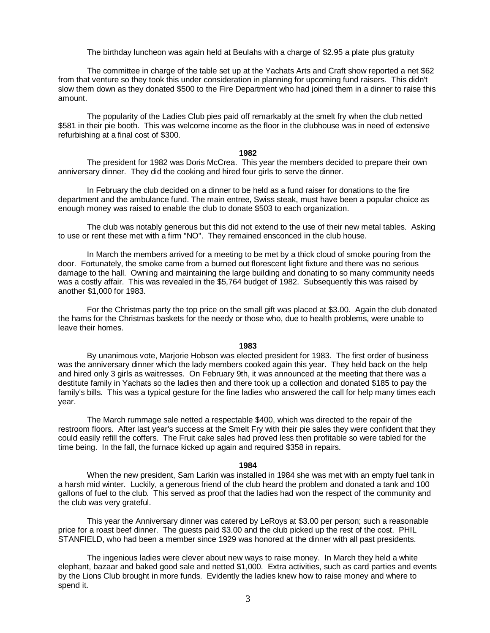The birthday luncheon was again held at Beulahs with a charge of \$2.95 a plate plus gratuity

The committee in charge of the table set up at the Yachats Arts and Craft show reported a net \$62 from that venture so they took this under consideration in planning for upcoming fund raisers. This didn't slow them down as they donated \$500 to the Fire Department who had joined them in a dinner to raise this amount.

The popularity of the Ladies Club pies paid off remarkably at the smelt fry when the club netted \$581 in their pie booth. This was welcome income as the floor in the clubhouse was in need of extensive refurbishing at a final cost of \$300.

#### **1982**

The president for 1982 was Doris McCrea. This year the members decided to prepare their own anniversary dinner. They did the cooking and hired four girls to serve the dinner.

In February the club decided on a dinner to be held as a fund raiser for donations to the fire department and the ambulance fund. The main entree, Swiss steak, must have been a popular choice as enough money was raised to enable the club to donate \$503 to each organization.

The club was notably generous but this did not extend to the use of their new metal tables. Asking to use or rent these met with a firm "NO". They remained ensconced in the club house.

In March the members arrived for a meeting to be met by a thick cloud of smoke pouring from the door. Fortunately, the smoke came from a burned out florescent light fixture and there was no serious damage to the hall. Owning and maintaining the large building and donating to so many community needs was a costly affair. This was revealed in the \$5,764 budget of 1982. Subsequently this was raised by another \$1,000 for 1983.

For the Christmas party the top price on the small gift was placed at \$3.00. Again the club donated the hams for the Christmas baskets for the needy or those who, due to health problems, were unable to leave their homes.

### **1983**

By unanimous vote, Marjorie Hobson was elected president for 1983. The first order of business was the anniversary dinner which the lady members cooked again this year. They held back on the help and hired only 3 girls as waitresses. On February 9th, it was announced at the meeting that there was a destitute family in Yachats so the ladies then and there took up a collection and donated \$185 to pay the family's bills. This was a typical gesture for the fine ladies who answered the call for help many times each year.

The March rummage sale netted a respectable \$400, which was directed to the repair of the restroom floors. After last year's success at the Smelt Fry with their pie sales they were confident that they could easily refill the coffers. The Fruit cake sales had proved less then profitable so were tabled for the time being. In the fall, the furnace kicked up again and required \$358 in repairs.

### **1984**

When the new president, Sam Larkin was installed in 1984 she was met with an empty fuel tank in a harsh mid winter. Luckily, a generous friend of the club heard the problem and donated a tank and 100 gallons of fuel to the club. This served as proof that the ladies had won the respect of the community and the club was very grateful.

This year the Anniversary dinner was catered by LeRoys at \$3.00 per person; such a reasonable price for a roast beef dinner. The guests paid \$3.00 and the club picked up the rest of the cost. PHIL STANFIELD, who had been a member since 1929 was honored at the dinner with all past presidents.

The ingenious ladies were clever about new ways to raise money. In March they held a white elephant, bazaar and baked good sale and netted \$1,000. Extra activities, such as card parties and events by the Lions Club brought in more funds. Evidently the ladies knew how to raise money and where to spend it.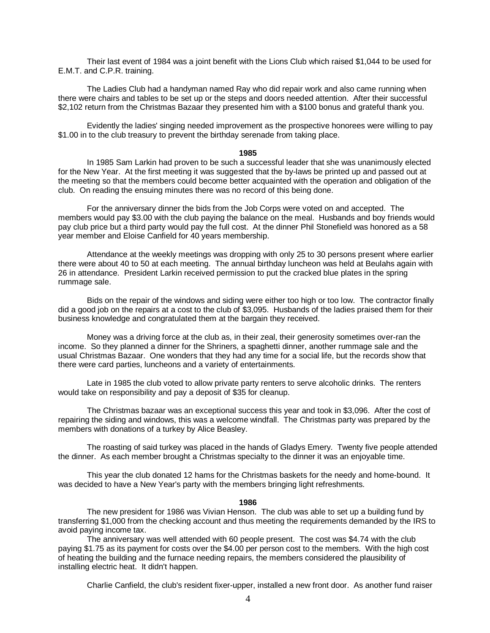Their last event of 1984 was a joint benefit with the Lions Club which raised \$1,044 to be used for E.M.T. and C.P.R. training.

The Ladies Club had a handyman named Ray who did repair work and also came running when there were chairs and tables to be set up or the steps and doors needed attention. After their successful \$2,102 return from the Christmas Bazaar they presented him with a \$100 bonus and grateful thank you.

Evidently the ladies' singing needed improvement as the prospective honorees were willing to pay \$1.00 in to the club treasury to prevent the birthday serenade from taking place.

#### **1985**

In 1985 Sam Larkin had proven to be such a successful leader that she was unanimously elected for the New Year. At the first meeting it was suggested that the by-laws be printed up and passed out at the meeting so that the members could become better acquainted with the operation and obligation of the club. On reading the ensuing minutes there was no record of this being done.

For the anniversary dinner the bids from the Job Corps were voted on and accepted. The members would pay \$3.00 with the club paying the balance on the meal. Husbands and boy friends would pay club price but a third party would pay the full cost. At the dinner Phil Stonefield was honored as a 58 year member and Eloise Canfield for 40 years membership.

Attendance at the weekly meetings was dropping with only 25 to 30 persons present where earlier there were about 40 to 50 at each meeting. The annual birthday luncheon was held at Beulahs again with 26 in attendance. President Larkin received permission to put the cracked blue plates in the spring rummage sale.

Bids on the repair of the windows and siding were either too high or too low. The contractor finally did a good job on the repairs at a cost to the club of \$3,095. Husbands of the ladies praised them for their business knowledge and congratulated them at the bargain they received.

Money was a driving force at the club as, in their zeal, their generosity sometimes over-ran the income. So they planned a dinner for the Shriners, a spaghetti dinner, another rummage sale and the usual Christmas Bazaar. One wonders that they had any time for a social life, but the records show that there were card parties, luncheons and a variety of entertainments.

Late in 1985 the club voted to allow private party renters to serve alcoholic drinks. The renters would take on responsibility and pay a deposit of \$35 for cleanup.

The Christmas bazaar was an exceptional success this year and took in \$3,096. After the cost of repairing the siding and windows, this was a welcome windfall. The Christmas party was prepared by the members with donations of a turkey by Alice Beasley.

The roasting of said turkey was placed in the hands of Gladys Emery. Twenty five people attended the dinner. As each member brought a Christmas specialty to the dinner it was an enjoyable time.

This year the club donated 12 hams for the Christmas baskets for the needy and home-bound. It was decided to have a New Year's party with the members bringing light refreshments.

# **1986**

The new president for 1986 was Vivian Henson. The club was able to set up a building fund by transferring \$1,000 from the checking account and thus meeting the requirements demanded by the IRS to avoid paying income tax.

The anniversary was well attended with 60 people present. The cost was \$4.74 with the club paying \$1.75 as its payment for costs over the \$4.00 per person cost to the members. With the high cost of heating the building and the furnace needing repairs, the members considered the plausibility of installing electric heat. It didn't happen.

Charlie Canfield, the club's resident fixer-upper, installed a new front door. As another fund raiser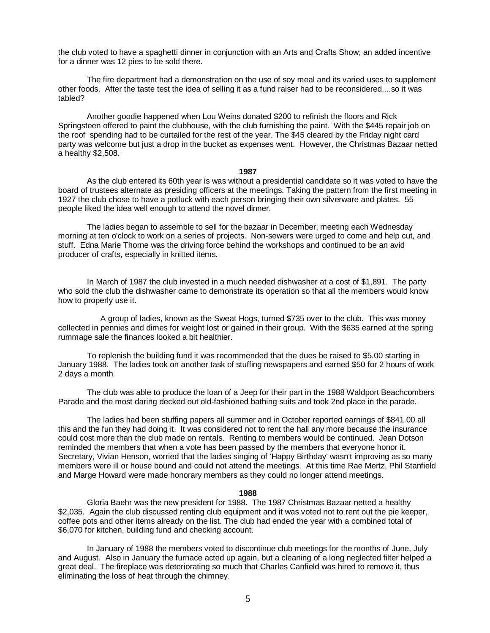the club voted to have a spaghetti dinner in conjunction with an Arts and Crafts Show; an added incentive for a dinner was 12 pies to be sold there.

The fire department had a demonstration on the use of soy meal and its varied uses to supplement other foods. After the taste test the idea of selling it as a fund raiser had to be reconsidered....so it was tabled?

Another goodie happened when Lou Weins donated \$200 to refinish the floors and Rick Springsteen offered to paint the clubhouse, with the club furnishing the paint. With the \$445 repair job on the roof spending had to be curtailed for the rest of the year. The \$45 cleared by the Friday night card party was welcome but just a drop in the bucket as expenses went. However, the Christmas Bazaar netted a healthy \$2,508.

# **1987**

As the club entered its 60th year is was without a presidential candidate so it was voted to have the board of trustees alternate as presiding officers at the meetings. Taking the pattern from the first meeting in 1927 the club chose to have a potluck with each person bringing their own silverware and plates. 55 people liked the idea well enough to attend the novel dinner.

The ladies began to assemble to sell for the bazaar in December, meeting each Wednesday morning at ten o'clock to work on a series of projects. Non-sewers were urged to come and help cut, and stuff. Edna Marie Thorne was the driving force behind the workshops and continued to be an avid producer of crafts, especially in knitted items.

In March of 1987 the club invested in a much needed dishwasher at a cost of \$1,891. The party who sold the club the dishwasher came to demonstrate its operation so that all the members would know how to properly use it.

 A group of ladies, known as the Sweat Hogs, turned \$735 over to the club. This was money collected in pennies and dimes for weight lost or gained in their group. With the \$635 earned at the spring rummage sale the finances looked a bit healthier.

To replenish the building fund it was recommended that the dues be raised to \$5.00 starting in January 1988. The ladies took on another task of stuffing newspapers and earned \$50 for 2 hours of work 2 days a month.

The club was able to produce the loan of a Jeep for their part in the 1988 Waldport Beachcombers Parade and the most daring decked out old-fashioned bathing suits and took 2nd place in the parade.

The ladies had been stuffing papers all summer and in October reported earnings of \$841.00 all this and the fun they had doing it. It was considered not to rent the hall any more because the insurance could cost more than the club made on rentals. Renting to members would be continued. Jean Dotson reminded the members that when a vote has been passed by the members that everyone honor it. Secretary, Vivian Henson, worried that the ladies singing of 'Happy Birthday' wasn't improving as so many members were ill or house bound and could not attend the meetings. At this time Rae Mertz, Phil Stanfield and Marge Howard were made honorary members as they could no longer attend meetings.

# **1988**

Gloria Baehr was the new president for 1988. The 1987 Christmas Bazaar netted a healthy \$2,035. Again the club discussed renting club equipment and it was voted not to rent out the pie keeper, coffee pots and other items already on the list. The club had ended the year with a combined total of \$6,070 for kitchen, building fund and checking account.

In January of 1988 the members voted to discontinue club meetings for the months of June, July and August. Also in January the furnace acted up again, but a cleaning of a long neglected filter helped a great deal. The fireplace was deteriorating so much that Charles Canfield was hired to remove it, thus eliminating the loss of heat through the chimney.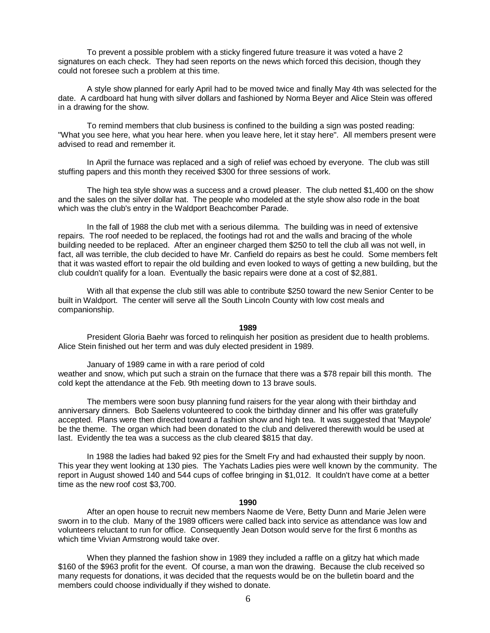To prevent a possible problem with a sticky fingered future treasure it was voted a have 2 signatures on each check. They had seen reports on the news which forced this decision, though they could not foresee such a problem at this time.

A style show planned for early April had to be moved twice and finally May 4th was selected for the date. A cardboard hat hung with silver dollars and fashioned by Norma Beyer and Alice Stein was offered in a drawing for the show.

To remind members that club business is confined to the building a sign was posted reading: "What you see here, what you hear here. when you leave here, let it stay here". All members present were advised to read and remember it.

In April the furnace was replaced and a sigh of relief was echoed by everyone. The club was still stuffing papers and this month they received \$300 for three sessions of work.

The high tea style show was a success and a crowd pleaser. The club netted \$1,400 on the show and the sales on the silver dollar hat. The people who modeled at the style show also rode in the boat which was the club's entry in the Waldport Beachcomber Parade.

In the fall of 1988 the club met with a serious dilemma. The building was in need of extensive repairs. The roof needed to be replaced, the footings had rot and the walls and bracing of the whole building needed to be replaced. After an engineer charged them \$250 to tell the club all was not well, in fact, all was terrible, the club decided to have Mr. Canfield do repairs as best he could. Some members felt that it was wasted effort to repair the old building and even looked to ways of getting a new building, but the club couldn't qualify for a loan. Eventually the basic repairs were done at a cost of \$2,881.

With all that expense the club still was able to contribute \$250 toward the new Senior Center to be built in Waldport. The center will serve all the South Lincoln County with low cost meals and companionship.

# **1989**

President Gloria Baehr was forced to relinquish her position as president due to health problems. Alice Stein finished out her term and was duly elected president in 1989.

January of 1989 came in with a rare period of cold weather and snow, which put such a strain on the furnace that there was a \$78 repair bill this month. The cold kept the attendance at the Feb. 9th meeting down to 13 brave souls.

The members were soon busy planning fund raisers for the year along with their birthday and anniversary dinners. Bob Saelens volunteered to cook the birthday dinner and his offer was gratefully accepted. Plans were then directed toward a fashion show and high tea. It was suggested that 'Maypole' be the theme. The organ which had been donated to the club and delivered therewith would be used at last. Evidently the tea was a success as the club cleared \$815 that day.

In 1988 the ladies had baked 92 pies for the Smelt Fry and had exhausted their supply by noon. This year they went looking at 130 pies. The Yachats Ladies pies were well known by the community. The report in August showed 140 and 544 cups of coffee bringing in \$1,012. It couldn't have come at a better time as the new roof cost \$3,700.

# **1990**

After an open house to recruit new members Naome de Vere, Betty Dunn and Marie Jelen were sworn in to the club. Many of the 1989 officers were called back into service as attendance was low and volunteers reluctant to run for office. Consequently Jean Dotson would serve for the first 6 months as which time Vivian Armstrong would take over.

When they planned the fashion show in 1989 they included a raffle on a glitzy hat which made \$160 of the \$963 profit for the event. Of course, a man won the drawing. Because the club received so many requests for donations, it was decided that the requests would be on the bulletin board and the members could choose individually if they wished to donate.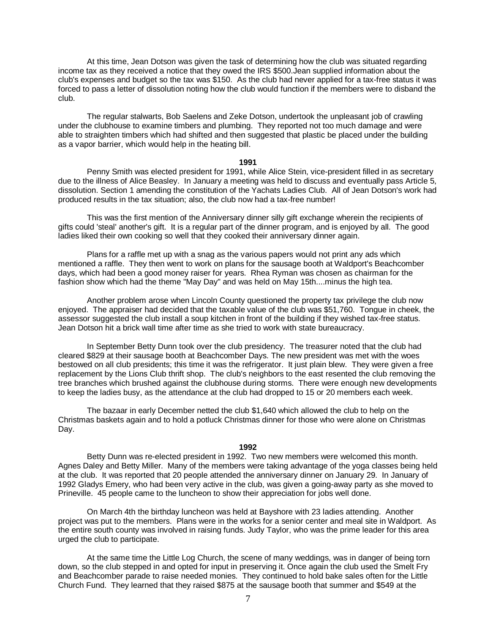At this time, Jean Dotson was given the task of determining how the club was situated regarding income tax as they received a notice that they owed the IRS \$500.Jean supplied information about the club's expenses and budget so the tax was \$150. As the club had never applied for a tax-free status it was forced to pass a letter of dissolution noting how the club would function if the members were to disband the club.

The regular stalwarts, Bob Saelens and Zeke Dotson, undertook the unpleasant job of crawling under the clubhouse to examine timbers and plumbing. They reported not too much damage and were able to straighten timbers which had shifted and then suggested that plastic be placed under the building as a vapor barrier, which would help in the heating bill.

#### **1991**

Penny Smith was elected president for 1991, while Alice Stein, vice-president filled in as secretary due to the illness of Alice Beasley. In January a meeting was held to discuss and eventually pass Article 5, dissolution. Section 1 amending the constitution of the Yachats Ladies Club. All of Jean Dotson's work had produced results in the tax situation; also, the club now had a tax-free number!

This was the first mention of the Anniversary dinner silly gift exchange wherein the recipients of gifts could 'steal' another's gift. It is a regular part of the dinner program, and is enjoyed by all. The good ladies liked their own cooking so well that they cooked their anniversary dinner again.

Plans for a raffle met up with a snag as the various papers would not print any ads which mentioned a raffle. They then went to work on plans for the sausage booth at Waldport's Beachcomber days, which had been a good money raiser for years. Rhea Ryman was chosen as chairman for the fashion show which had the theme "May Day" and was held on May 15th....minus the high tea.

Another problem arose when Lincoln County questioned the property tax privilege the club now enjoyed. The appraiser had decided that the taxable value of the club was \$51,760. Tongue in cheek, the assessor suggested the club install a soup kitchen in front of the building if they wished tax-free status. Jean Dotson hit a brick wall time after time as she tried to work with state bureaucracy.

In September Betty Dunn took over the club presidency. The treasurer noted that the club had cleared \$829 at their sausage booth at Beachcomber Days. The new president was met with the woes bestowed on all club presidents; this time it was the refrigerator. It just plain blew. They were given a free replacement by the Lions Club thrift shop. The club's neighbors to the east resented the club removing the tree branches which brushed against the clubhouse during storms. There were enough new developments to keep the ladies busy, as the attendance at the club had dropped to 15 or 20 members each week.

The bazaar in early December netted the club \$1,640 which allowed the club to help on the Christmas baskets again and to hold a potluck Christmas dinner for those who were alone on Christmas Day.

#### **1992**

Betty Dunn was re-elected president in 1992. Two new members were welcomed this month. Agnes Daley and Betty Miller. Many of the members were taking advantage of the yoga classes being held at the club. It was reported that 20 people attended the anniversary dinner on January 29. In January of 1992 Gladys Emery, who had been very active in the club, was given a going-away party as she moved to Prineville. 45 people came to the luncheon to show their appreciation for jobs well done.

On March 4th the birthday luncheon was held at Bayshore with 23 ladies attending. Another project was put to the members. Plans were in the works for a senior center and meal site in Waldport. As the entire south county was involved in raising funds. Judy Taylor, who was the prime leader for this area urged the club to participate.

At the same time the Little Log Church, the scene of many weddings, was in danger of being torn down, so the club stepped in and opted for input in preserving it. Once again the club used the Smelt Fry and Beachcomber parade to raise needed monies. They continued to hold bake sales often for the Little Church Fund. They learned that they raised \$875 at the sausage booth that summer and \$549 at the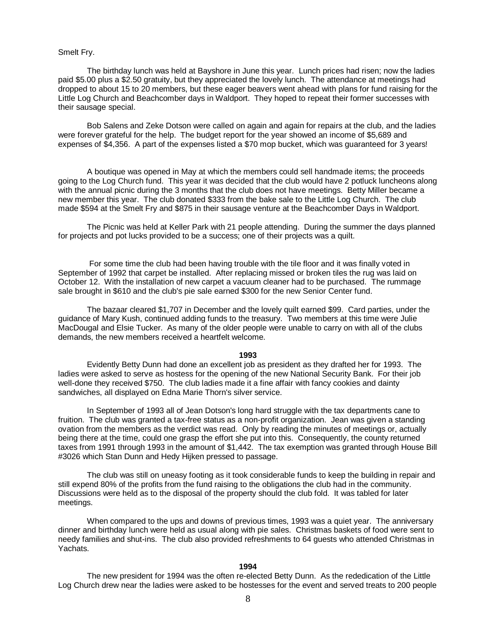# Smelt Fry.

The birthday lunch was held at Bayshore in June this year. Lunch prices had risen; now the ladies paid \$5.00 plus a \$2.50 gratuity, but they appreciated the lovely lunch. The attendance at meetings had dropped to about 15 to 20 members, but these eager beavers went ahead with plans for fund raising for the Little Log Church and Beachcomber days in Waldport. They hoped to repeat their former successes with their sausage special.

Bob Salens and Zeke Dotson were called on again and again for repairs at the club, and the ladies were forever grateful for the help. The budget report for the year showed an income of \$5,689 and expenses of \$4,356. A part of the expenses listed a \$70 mop bucket, which was guaranteed for 3 years!

A boutique was opened in May at which the members could sell handmade items; the proceeds going to the Log Church fund. This year it was decided that the club would have 2 potluck luncheons along with the annual picnic during the 3 months that the club does not have meetings. Betty Miller became a new member this year. The club donated \$333 from the bake sale to the Little Log Church. The club made \$594 at the Smelt Fry and \$875 in their sausage venture at the Beachcomber Days in Waldport.

The Picnic was held at Keller Park with 21 people attending. During the summer the days planned for projects and pot lucks provided to be a success; one of their projects was a quilt.

 For some time the club had been having trouble with the tile floor and it was finally voted in September of 1992 that carpet be installed. After replacing missed or broken tiles the rug was laid on October 12. With the installation of new carpet a vacuum cleaner had to be purchased. The rummage sale brought in \$610 and the club's pie sale earned \$300 for the new Senior Center fund.

The bazaar cleared \$1,707 in December and the lovely quilt earned \$99. Card parties, under the guidance of Mary Kush, continued adding funds to the treasury. Two members at this time were Julie MacDougal and Elsie Tucker. As many of the older people were unable to carry on with all of the clubs demands, the new members received a heartfelt welcome.

#### **1993**

Evidently Betty Dunn had done an excellent job as president as they drafted her for 1993. The ladies were asked to serve as hostess for the opening of the new National Security Bank. For their job well-done they received \$750. The club ladies made it a fine affair with fancy cookies and dainty sandwiches, all displayed on Edna Marie Thorn's silver service.

In September of 1993 all of Jean Dotson's long hard struggle with the tax departments cane to fruition. The club was granted a tax-free status as a non-profit organization. Jean was given a standing ovation from the members as the verdict was read. Only by reading the minutes of meetings or, actually being there at the time, could one grasp the effort she put into this. Consequently, the county returned taxes from 1991 through 1993 in the amount of \$1,442. The tax exemption was granted through House Bill #3026 which Stan Dunn and Hedy Hijken pressed to passage.

The club was still on uneasy footing as it took considerable funds to keep the building in repair and still expend 80% of the profits from the fund raising to the obligations the club had in the community. Discussions were held as to the disposal of the property should the club fold. It was tabled for later meetings.

When compared to the ups and downs of previous times, 1993 was a quiet year. The anniversary dinner and birthday lunch were held as usual along with pie sales. Christmas baskets of food were sent to needy families and shut-ins. The club also provided refreshments to 64 guests who attended Christmas in Yachats.

# **1994**

The new president for 1994 was the often re-elected Betty Dunn. As the rededication of the Little Log Church drew near the ladies were asked to be hostesses for the event and served treats to 200 people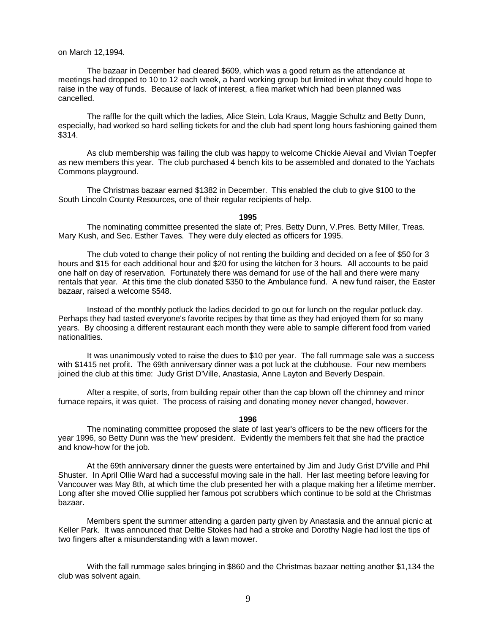# on March 12,1994.

The bazaar in December had cleared \$609, which was a good return as the attendance at meetings had dropped to 10 to 12 each week, a hard working group but limited in what they could hope to raise in the way of funds. Because of lack of interest, a flea market which had been planned was cancelled.

The raffle for the quilt which the ladies, Alice Stein, Lola Kraus, Maggie Schultz and Betty Dunn, especially, had worked so hard selling tickets for and the club had spent long hours fashioning gained them \$314.

As club membership was failing the club was happy to welcome Chickie Aievail and Vivian Toepfer as new members this year. The club purchased 4 bench kits to be assembled and donated to the Yachats Commons playground.

The Christmas bazaar earned \$1382 in December. This enabled the club to give \$100 to the South Lincoln County Resources, one of their regular recipients of help.

#### **1995**

The nominating committee presented the slate of; Pres. Betty Dunn, V.Pres. Betty Miller, Treas. Mary Kush, and Sec. Esther Taves. They were duly elected as officers for 1995.

The club voted to change their policy of not renting the building and decided on a fee of \$50 for 3 hours and \$15 for each additional hour and \$20 for using the kitchen for 3 hours. All accounts to be paid one half on day of reservation. Fortunately there was demand for use of the hall and there were many rentals that year. At this time the club donated \$350 to the Ambulance fund. A new fund raiser, the Easter bazaar, raised a welcome \$548.

Instead of the monthly potluck the ladies decided to go out for lunch on the regular potluck day. Perhaps they had tasted everyone's favorite recipes by that time as they had enjoyed them for so many years. By choosing a different restaurant each month they were able to sample different food from varied nationalities.

It was unanimously voted to raise the dues to \$10 per year. The fall rummage sale was a success with \$1415 net profit. The 69th anniversary dinner was a pot luck at the clubhouse. Four new members joined the club at this time: Judy Grist D'Ville, Anastasia, Anne Layton and Beverly Despain.

After a respite, of sorts, from building repair other than the cap blown off the chimney and minor furnace repairs, it was quiet. The process of raising and donating money never changed, however.

#### **1996**

The nominating committee proposed the slate of last year's officers to be the new officers for the year 1996, so Betty Dunn was the 'new' president. Evidently the members felt that she had the practice and know-how for the job.

At the 69th anniversary dinner the guests were entertained by Jim and Judy Grist D'Ville and Phil Shuster. In April Ollie Ward had a successful moving sale in the hall. Her last meeting before leaving for Vancouver was May 8th, at which time the club presented her with a plaque making her a lifetime member. Long after she moved Ollie supplied her famous pot scrubbers which continue to be sold at the Christmas bazaar.

Members spent the summer attending a garden party given by Anastasia and the annual picnic at Keller Park. It was announced that Deltie Stokes had had a stroke and Dorothy Nagle had lost the tips of two fingers after a misunderstanding with a lawn mower.

With the fall rummage sales bringing in \$860 and the Christmas bazaar netting another \$1,134 the club was solvent again.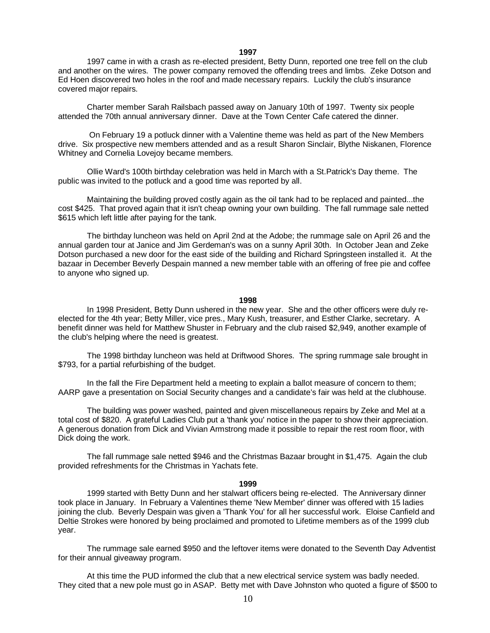**1997** 

1997 came in with a crash as re-elected president, Betty Dunn, reported one tree fell on the club and another on the wires. The power company removed the offending trees and limbs. Zeke Dotson and Ed Hoen discovered two holes in the roof and made necessary repairs. Luckily the club's insurance covered major repairs.

Charter member Sarah Railsbach passed away on January 10th of 1997. Twenty six people attended the 70th annual anniversary dinner. Dave at the Town Center Cafe catered the dinner.

 On February 19 a potluck dinner with a Valentine theme was held as part of the New Members drive. Six prospective new members attended and as a result Sharon Sinclair, Blythe Niskanen, Florence Whitney and Cornelia Lovejoy became members.

Ollie Ward's 100th birthday celebration was held in March with a St.Patrick's Day theme. The public was invited to the potluck and a good time was reported by all.

Maintaining the building proved costly again as the oil tank had to be replaced and painted...the cost \$425. That proved again that it isn't cheap owning your own building. The fall rummage sale netted \$615 which left little after paying for the tank.

The birthday luncheon was held on April 2nd at the Adobe; the rummage sale on April 26 and the annual garden tour at Janice and Jim Gerdeman's was on a sunny April 30th. In October Jean and Zeke Dotson purchased a new door for the east side of the building and Richard Springsteen installed it. At the bazaar in December Beverly Despain manned a new member table with an offering of free pie and coffee to anyone who signed up.

### **1998**

In 1998 President, Betty Dunn ushered in the new year. She and the other officers were duly reelected for the 4th year; Betty Miller, vice pres., Mary Kush, treasurer, and Esther Clarke, secretary. A benefit dinner was held for Matthew Shuster in February and the club raised \$2,949, another example of the club's helping where the need is greatest.

The 1998 birthday luncheon was held at Driftwood Shores. The spring rummage sale brought in \$793, for a partial refurbishing of the budget.

In the fall the Fire Department held a meeting to explain a ballot measure of concern to them; AARP gave a presentation on Social Security changes and a candidate's fair was held at the clubhouse.

The building was power washed, painted and given miscellaneous repairs by Zeke and Mel at a total cost of \$820. A grateful Ladies Club put a 'thank you' notice in the paper to show their appreciation. A generous donation from Dick and Vivian Armstrong made it possible to repair the rest room floor, with Dick doing the work.

The fall rummage sale netted \$946 and the Christmas Bazaar brought in \$1,475. Again the club provided refreshments for the Christmas in Yachats fete.

#### **1999**

1999 started with Betty Dunn and her stalwart officers being re-elected. The Anniversary dinner took place in January. In February a Valentines theme 'New Member' dinner was offered with 15 ladies joining the club. Beverly Despain was given a 'Thank You' for all her successful work. Eloise Canfield and Deltie Strokes were honored by being proclaimed and promoted to Lifetime members as of the 1999 club year.

The rummage sale earned \$950 and the leftover items were donated to the Seventh Day Adventist for their annual giveaway program.

At this time the PUD informed the club that a new electrical service system was badly needed. They cited that a new pole must go in ASAP. Betty met with Dave Johnston who quoted a figure of \$500 to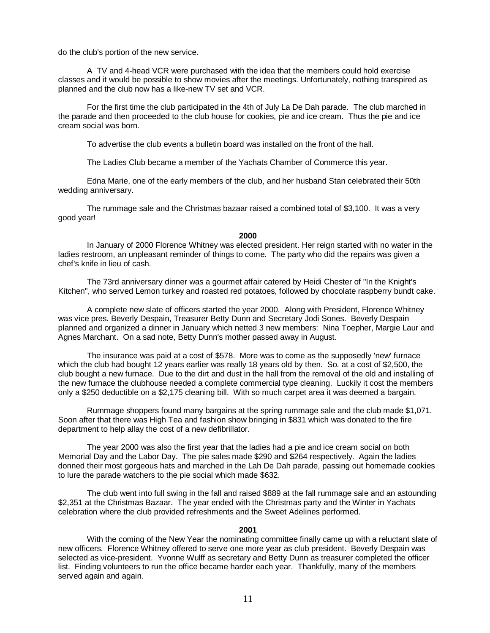do the club's portion of the new service.

A TV and 4-head VCR were purchased with the idea that the members could hold exercise classes and it would be possible to show movies after the meetings. Unfortunately, nothing transpired as planned and the club now has a like-new TV set and VCR.

For the first time the club participated in the 4th of July La De Dah parade. The club marched in the parade and then proceeded to the club house for cookies, pie and ice cream. Thus the pie and ice cream social was born.

To advertise the club events a bulletin board was installed on the front of the hall.

The Ladies Club became a member of the Yachats Chamber of Commerce this year.

Edna Marie, one of the early members of the club, and her husband Stan celebrated their 50th wedding anniversary.

The rummage sale and the Christmas bazaar raised a combined total of \$3,100. It was a very good year!

#### **2000**

In January of 2000 Florence Whitney was elected president. Her reign started with no water in the ladies restroom, an unpleasant reminder of things to come. The party who did the repairs was given a chef's knife in lieu of cash.

The 73rd anniversary dinner was a gourmet affair catered by Heidi Chester of "In the Knight's Kitchen", who served Lemon turkey and roasted red potatoes, followed by chocolate raspberry bundt cake.

A complete new slate of officers started the year 2000. Along with President, Florence Whitney was vice pres. Beverly Despain, Treasurer Betty Dunn and Secretary Jodi Sones. Beverly Despain planned and organized a dinner in January which netted 3 new members: Nina Toepher, Margie Laur and Agnes Marchant. On a sad note, Betty Dunn's mother passed away in August.

The insurance was paid at a cost of \$578. More was to come as the supposedly 'new' furnace which the club had bought 12 years earlier was really 18 years old by then. So. at a cost of \$2,500, the club bought a new furnace. Due to the dirt and dust in the hall from the removal of the old and installing of the new furnace the clubhouse needed a complete commercial type cleaning. Luckily it cost the members only a \$250 deductible on a \$2,175 cleaning bill. With so much carpet area it was deemed a bargain.

Rummage shoppers found many bargains at the spring rummage sale and the club made \$1,071. Soon after that there was High Tea and fashion show bringing in \$831 which was donated to the fire department to help allay the cost of a new defibrillator.

The year 2000 was also the first year that the ladies had a pie and ice cream social on both Memorial Day and the Labor Day. The pie sales made \$290 and \$264 respectively. Again the ladies donned their most gorgeous hats and marched in the Lah De Dah parade, passing out homemade cookies to lure the parade watchers to the pie social which made \$632.

The club went into full swing in the fall and raised \$889 at the fall rummage sale and an astounding \$2,351 at the Christmas Bazaar. The year ended with the Christmas party and the Winter in Yachats celebration where the club provided refreshments and the Sweet Adelines performed.

#### **2001**

With the coming of the New Year the nominating committee finally came up with a reluctant slate of new officers. Florence Whitney offered to serve one more year as club president. Beverly Despain was selected as vice-president. Yvonne Wulff as secretary and Betty Dunn as treasurer completed the officer list. Finding volunteers to run the office became harder each year. Thankfully, many of the members served again and again.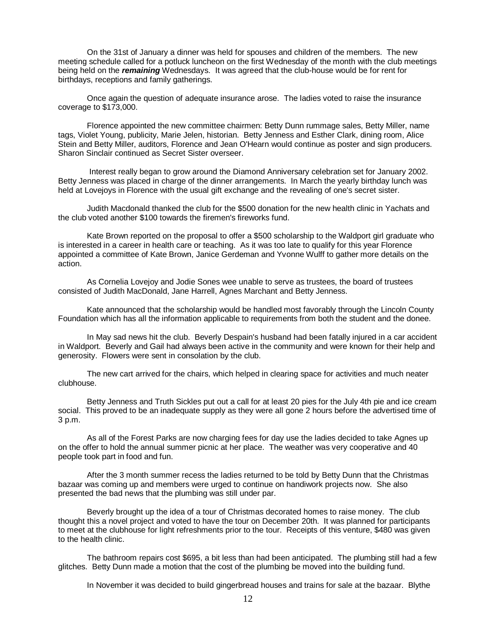On the 31st of January a dinner was held for spouses and children of the members. The new meeting schedule called for a potluck luncheon on the first Wednesday of the month with the club meetings being held on the *remaining* Wednesdays. It was agreed that the club-house would be for rent for birthdays, receptions and family gatherings.

Once again the question of adequate insurance arose. The ladies voted to raise the insurance coverage to \$173,000.

Florence appointed the new committee chairmen: Betty Dunn rummage sales, Betty Miller, name tags, Violet Young, publicity, Marie Jelen, historian. Betty Jenness and Esther Clark, dining room, Alice Stein and Betty Miller, auditors, Florence and Jean O'Hearn would continue as poster and sign producers. Sharon Sinclair continued as Secret Sister overseer.

 Interest really began to grow around the Diamond Anniversary celebration set for January 2002. Betty Jenness was placed in charge of the dinner arrangements. In March the yearly birthday lunch was held at Lovejoys in Florence with the usual gift exchange and the revealing of one's secret sister.

Judith Macdonald thanked the club for the \$500 donation for the new health clinic in Yachats and the club voted another \$100 towards the firemen's fireworks fund.

Kate Brown reported on the proposal to offer a \$500 scholarship to the Waldport girl graduate who is interested in a career in health care or teaching. As it was too late to qualify for this year Florence appointed a committee of Kate Brown, Janice Gerdeman and Yvonne Wulff to gather more details on the action.

As Cornelia Lovejoy and Jodie Sones wee unable to serve as trustees, the board of trustees consisted of Judith MacDonald, Jane Harrell, Agnes Marchant and Betty Jenness.

Kate announced that the scholarship would be handled most favorably through the Lincoln County Foundation which has all the information applicable to requirements from both the student and the donee.

In May sad news hit the club. Beverly Despain's husband had been fatally injured in a car accident in Waldport. Beverly and Gail had always been active in the community and were known for their help and generosity. Flowers were sent in consolation by the club.

The new cart arrived for the chairs, which helped in clearing space for activities and much neater clubhouse.

Betty Jenness and Truth Sickles put out a call for at least 20 pies for the July 4th pie and ice cream social. This proved to be an inadequate supply as they were all gone 2 hours before the advertised time of 3 p.m.

As all of the Forest Parks are now charging fees for day use the ladies decided to take Agnes up on the offer to hold the annual summer picnic at her place. The weather was very cooperative and 40 people took part in food and fun.

After the 3 month summer recess the ladies returned to be told by Betty Dunn that the Christmas bazaar was coming up and members were urged to continue on handiwork projects now. She also presented the bad news that the plumbing was still under par.

Beverly brought up the idea of a tour of Christmas decorated homes to raise money. The club thought this a novel project and voted to have the tour on December 20th. It was planned for participants to meet at the clubhouse for light refreshments prior to the tour. Receipts of this venture, \$480 was given to the health clinic.

The bathroom repairs cost \$695, a bit less than had been anticipated. The plumbing still had a few glitches. Betty Dunn made a motion that the cost of the plumbing be moved into the building fund.

In November it was decided to build gingerbread houses and trains for sale at the bazaar. Blythe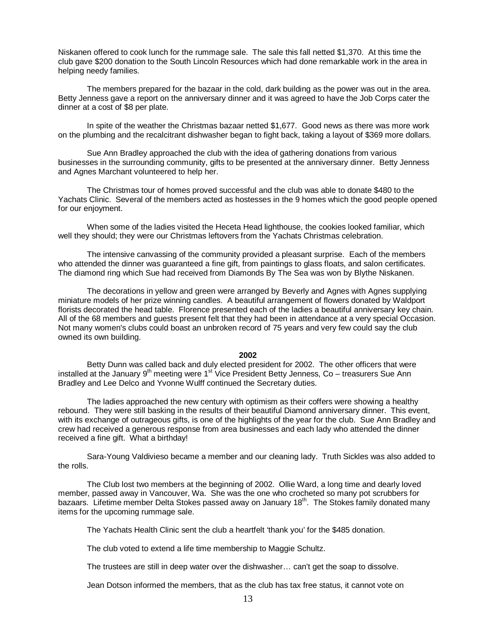Niskanen offered to cook lunch for the rummage sale. The sale this fall netted \$1,370. At this time the club gave \$200 donation to the South Lincoln Resources which had done remarkable work in the area in helping needy families.

The members prepared for the bazaar in the cold, dark building as the power was out in the area. Betty Jenness gave a report on the anniversary dinner and it was agreed to have the Job Corps cater the dinner at a cost of \$8 per plate.

In spite of the weather the Christmas bazaar netted \$1,677. Good news as there was more work on the plumbing and the recalcitrant dishwasher began to fight back, taking a layout of \$369 more dollars.

Sue Ann Bradley approached the club with the idea of gathering donations from various businesses in the surrounding community, gifts to be presented at the anniversary dinner. Betty Jenness and Agnes Marchant volunteered to help her.

The Christmas tour of homes proved successful and the club was able to donate \$480 to the Yachats Clinic. Several of the members acted as hostesses in the 9 homes which the good people opened for our enjoyment.

When some of the ladies visited the Heceta Head lighthouse, the cookies looked familiar, which well they should; they were our Christmas leftovers from the Yachats Christmas celebration.

The intensive canvassing of the community provided a pleasant surprise. Each of the members who attended the dinner was guaranteed a fine gift, from paintings to glass floats, and salon certificates. The diamond ring which Sue had received from Diamonds By The Sea was won by Blythe Niskanen.

The decorations in yellow and green were arranged by Beverly and Agnes with Agnes supplying miniature models of her prize winning candles. A beautiful arrangement of flowers donated by Waldport florists decorated the head table. Florence presented each of the ladies a beautiful anniversary key chain. All of the 68 members and guests present felt that they had been in attendance at a very special Occasion. Not many women's clubs could boast an unbroken record of 75 years and very few could say the club owned its own building.

### **2002**

Betty Dunn was called back and duly elected president for 2002. The other officers that were installed at the January  $9<sup>th</sup>$  meeting were 1<sup>st</sup> Vice President Betty Jenness, Co – treasurers Sue Ann Bradley and Lee Delco and Yvonne Wulff continued the Secretary duties.

The ladies approached the new century with optimism as their coffers were showing a healthy rebound. They were still basking in the results of their beautiful Diamond anniversary dinner. This event, with its exchange of outrageous gifts, is one of the highlights of the year for the club. Sue Ann Bradley and crew had received a generous response from area businesses and each lady who attended the dinner received a fine gift. What a birthday!

Sara-Young Valdivieso became a member and our cleaning lady. Truth Sickles was also added to the rolls.

The Club lost two members at the beginning of 2002. Ollie Ward, a long time and dearly loved member, passed away in Vancouver, Wa. She was the one who crocheted so many pot scrubbers for bazaars. Lifetime member Delta Stokes passed away on January 18<sup>th</sup>. The Stokes family donated many items for the upcoming rummage sale.

The Yachats Health Clinic sent the club a heartfelt 'thank you' for the \$485 donation.

The club voted to extend a life time membership to Maggie Schultz.

The trustees are still in deep water over the dishwasher… can't get the soap to dissolve.

Jean Dotson informed the members, that as the club has tax free status, it cannot vote on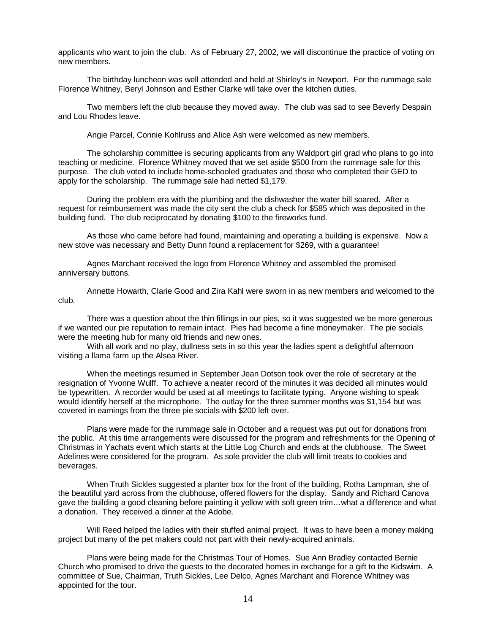applicants who want to join the club. As of February 27, 2002, we will discontinue the practice of voting on new members.

The birthday luncheon was well attended and held at Shirley's in Newport. For the rummage sale Florence Whitney, Beryl Johnson and Esther Clarke will take over the kitchen duties.

Two members left the club because they moved away. The club was sad to see Beverly Despain and Lou Rhodes leave.

Angie Parcel, Connie Kohlruss and Alice Ash were welcomed as new members.

The scholarship committee is securing applicants from any Waldport girl grad who plans to go into teaching or medicine. Florence Whitney moved that we set aside \$500 from the rummage sale for this purpose. The club voted to include home-schooled graduates and those who completed their GED to apply for the scholarship. The rummage sale had netted \$1,179.

During the problem era with the plumbing and the dishwasher the water bill soared. After a request for reimbursement was made the city sent the club a check for \$585 which was deposited in the building fund. The club reciprocated by donating \$100 to the fireworks fund.

As those who came before had found, maintaining and operating a building is expensive. Now a new stove was necessary and Betty Dunn found a replacement for \$269, with a guarantee!

Agnes Marchant received the logo from Florence Whitney and assembled the promised anniversary buttons.

Annette Howarth, Clarie Good and Zira Kahl were sworn in as new members and welcomed to the club.

There was a question about the thin fillings in our pies, so it was suggested we be more generous if we wanted our pie reputation to remain intact. Pies had become a fine moneymaker. The pie socials were the meeting hub for many old friends and new ones.

With all work and no play, dullness sets in so this year the ladies spent a delightful afternoon visiting a llama farm up the Alsea River.

When the meetings resumed in September Jean Dotson took over the role of secretary at the resignation of Yvonne Wulff. To achieve a neater record of the minutes it was decided all minutes would be typewritten. A recorder would be used at all meetings to facilitate typing. Anyone wishing to speak would identify herself at the microphone. The outlay for the three summer months was \$1,154 but was covered in earnings from the three pie socials with \$200 left over.

Plans were made for the rummage sale in October and a request was put out for donations from the public. At this time arrangements were discussed for the program and refreshments for the Opening of Christmas in Yachats event which starts at the Little Log Church and ends at the clubhouse. The Sweet Adelines were considered for the program. As sole provider the club will limit treats to cookies and beverages.

When Truth Sickles suggested a planter box for the front of the building, Rotha Lampman, she of the beautiful yard across from the clubhouse, offered flowers for the display. Sandy and Richard Canova gave the building a good cleaning before painting it yellow with soft green trim…what a difference and what a donation. They received a dinner at the Adobe.

Will Reed helped the ladies with their stuffed animal project. It was to have been a money making project but many of the pet makers could not part with their newly-acquired animals.

Plans were being made for the Christmas Tour of Homes. Sue Ann Bradley contacted Bernie Church who promised to drive the guests to the decorated homes in exchange for a gift to the Kidswim. A committee of Sue, Chairman, Truth Sickles, Lee Delco, Agnes Marchant and Florence Whitney was appointed for the tour.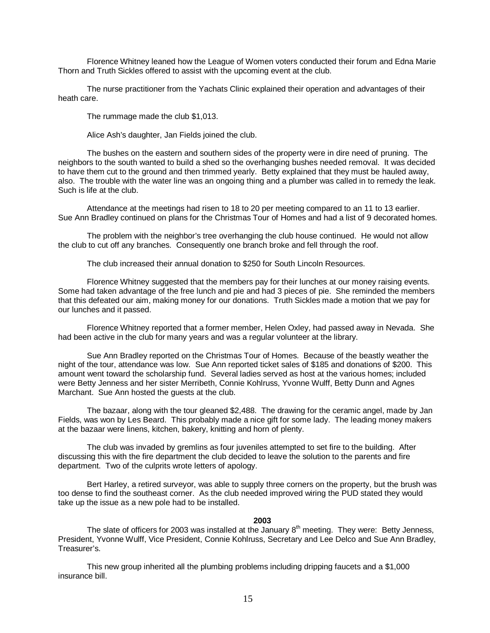Florence Whitney leaned how the League of Women voters conducted their forum and Edna Marie Thorn and Truth Sickles offered to assist with the upcoming event at the club.

The nurse practitioner from the Yachats Clinic explained their operation and advantages of their heath care.

The rummage made the club \$1,013.

Alice Ash's daughter, Jan Fields joined the club.

The bushes on the eastern and southern sides of the property were in dire need of pruning. The neighbors to the south wanted to build a shed so the overhanging bushes needed removal. It was decided to have them cut to the ground and then trimmed yearly. Betty explained that they must be hauled away, also. The trouble with the water line was an ongoing thing and a plumber was called in to remedy the leak. Such is life at the club.

Attendance at the meetings had risen to 18 to 20 per meeting compared to an 11 to 13 earlier. Sue Ann Bradley continued on plans for the Christmas Tour of Homes and had a list of 9 decorated homes.

The problem with the neighbor's tree overhanging the club house continued. He would not allow the club to cut off any branches. Consequently one branch broke and fell through the roof.

The club increased their annual donation to \$250 for South Lincoln Resources.

Florence Whitney suggested that the members pay for their lunches at our money raising events. Some had taken advantage of the free lunch and pie and had 3 pieces of pie. She reminded the members that this defeated our aim, making money for our donations. Truth Sickles made a motion that we pay for our lunches and it passed.

Florence Whitney reported that a former member, Helen Oxley, had passed away in Nevada. She had been active in the club for many years and was a regular volunteer at the library.

Sue Ann Bradley reported on the Christmas Tour of Homes. Because of the beastly weather the night of the tour, attendance was low. Sue Ann reported ticket sales of \$185 and donations of \$200. This amount went toward the scholarship fund. Several ladies served as host at the various homes; included were Betty Jenness and her sister Merribeth, Connie Kohlruss, Yvonne Wulff, Betty Dunn and Agnes Marchant. Sue Ann hosted the guests at the club.

The bazaar, along with the tour gleaned \$2,488. The drawing for the ceramic angel, made by Jan Fields, was won by Les Beard. This probably made a nice gift for some lady. The leading money makers at the bazaar were linens, kitchen, bakery, knitting and horn of plenty.

The club was invaded by gremlins as four juveniles attempted to set fire to the building. After discussing this with the fire department the club decided to leave the solution to the parents and fire department. Two of the culprits wrote letters of apology.

Bert Harley, a retired surveyor, was able to supply three corners on the property, but the brush was too dense to find the southeast corner. As the club needed improved wiring the PUD stated they would take up the issue as a new pole had to be installed.

**2003** 

The slate of officers for 2003 was installed at the January  $8<sup>th</sup>$  meeting. They were: Betty Jenness, President, Yvonne Wulff, Vice President, Connie Kohlruss, Secretary and Lee Delco and Sue Ann Bradley, Treasurer's.

This new group inherited all the plumbing problems including dripping faucets and a \$1,000 insurance bill.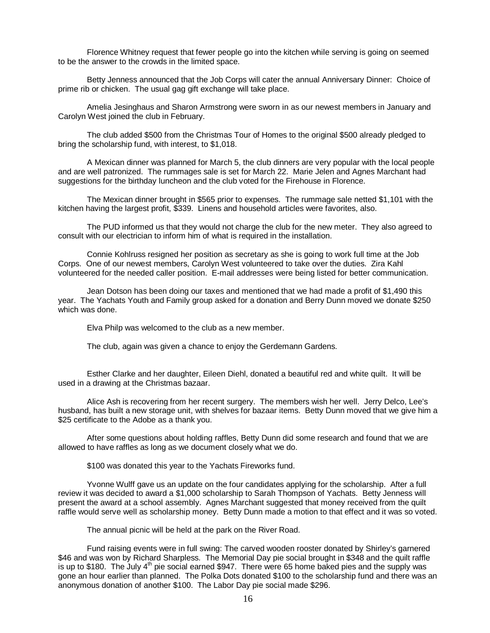Florence Whitney request that fewer people go into the kitchen while serving is going on seemed to be the answer to the crowds in the limited space.

Betty Jenness announced that the Job Corps will cater the annual Anniversary Dinner: Choice of prime rib or chicken. The usual gag gift exchange will take place.

Amelia Jesinghaus and Sharon Armstrong were sworn in as our newest members in January and Carolyn West joined the club in February.

The club added \$500 from the Christmas Tour of Homes to the original \$500 already pledged to bring the scholarship fund, with interest, to \$1,018.

A Mexican dinner was planned for March 5, the club dinners are very popular with the local people and are well patronized. The rummages sale is set for March 22. Marie Jelen and Agnes Marchant had suggestions for the birthday luncheon and the club voted for the Firehouse in Florence.

The Mexican dinner brought in \$565 prior to expenses. The rummage sale netted \$1,101 with the kitchen having the largest profit, \$339. Linens and household articles were favorites, also.

The PUD informed us that they would not charge the club for the new meter. They also agreed to consult with our electrician to inform him of what is required in the installation.

Connie Kohlruss resigned her position as secretary as she is going to work full time at the Job Corps. One of our newest members, Carolyn West volunteered to take over the duties. Zira Kahl volunteered for the needed caller position. E-mail addresses were being listed for better communication.

Jean Dotson has been doing our taxes and mentioned that we had made a profit of \$1,490 this year. The Yachats Youth and Family group asked for a donation and Berry Dunn moved we donate \$250 which was done.

Elva Philp was welcomed to the club as a new member.

The club, again was given a chance to enjoy the Gerdemann Gardens.

Esther Clarke and her daughter, Eileen Diehl, donated a beautiful red and white quilt. It will be used in a drawing at the Christmas bazaar.

Alice Ash is recovering from her recent surgery. The members wish her well. Jerry Delco, Lee's husband, has built a new storage unit, with shelves for bazaar items. Betty Dunn moved that we give him a \$25 certificate to the Adobe as a thank you.

After some questions about holding raffles, Betty Dunn did some research and found that we are allowed to have raffles as long as we document closely what we do.

\$100 was donated this year to the Yachats Fireworks fund.

Yvonne Wulff gave us an update on the four candidates applying for the scholarship. After a full review it was decided to award a \$1,000 scholarship to Sarah Thompson of Yachats. Betty Jenness will present the award at a school assembly. Agnes Marchant suggested that money received from the quilt raffle would serve well as scholarship money. Betty Dunn made a motion to that effect and it was so voted.

The annual picnic will be held at the park on the River Road.

Fund raising events were in full swing: The carved wooden rooster donated by Shirley's garnered \$46 and was won by Richard Sharpless. The Memorial Day pie social brought in \$348 and the quilt raffle is up to \$180. The July  $4<sup>th</sup>$  pie social earned \$947. There were 65 home baked pies and the supply was gone an hour earlier than planned. The Polka Dots donated \$100 to the scholarship fund and there was an anonymous donation of another \$100. The Labor Day pie social made \$296.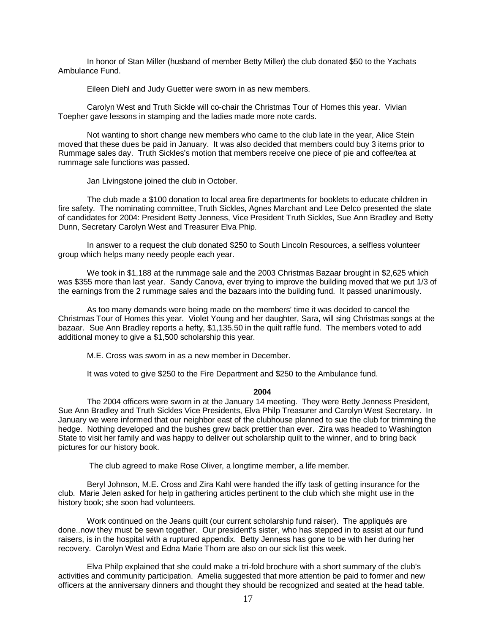In honor of Stan Miller (husband of member Betty Miller) the club donated \$50 to the Yachats Ambulance Fund.

Eileen Diehl and Judy Guetter were sworn in as new members.

Carolyn West and Truth Sickle will co-chair the Christmas Tour of Homes this year. Vivian Toepher gave lessons in stamping and the ladies made more note cards.

Not wanting to short change new members who came to the club late in the year, Alice Stein moved that these dues be paid in January. It was also decided that members could buy 3 items prior to Rummage sales day. Truth Sickles's motion that members receive one piece of pie and coffee/tea at rummage sale functions was passed.

Jan Livingstone joined the club in October.

The club made a \$100 donation to local area fire departments for booklets to educate children in fire safety. The nominating committee, Truth Sickles, Agnes Marchant and Lee Delco presented the slate of candidates for 2004: President Betty Jenness, Vice President Truth Sickles, Sue Ann Bradley and Betty Dunn, Secretary Carolyn West and Treasurer Elva Phip.

In answer to a request the club donated \$250 to South Lincoln Resources, a selfless volunteer group which helps many needy people each year.

We took in \$1,188 at the rummage sale and the 2003 Christmas Bazaar brought in \$2,625 which was \$355 more than last year. Sandy Canova, ever trying to improve the building moved that we put 1/3 of the earnings from the 2 rummage sales and the bazaars into the building fund. It passed unanimously.

As too many demands were being made on the members' time it was decided to cancel the Christmas Tour of Homes this year. Violet Young and her daughter, Sara, will sing Christmas songs at the bazaar. Sue Ann Bradley reports a hefty, \$1,135.50 in the quilt raffle fund. The members voted to add additional money to give a \$1,500 scholarship this year.

M.E. Cross was sworn in as a new member in December.

It was voted to give \$250 to the Fire Department and \$250 to the Ambulance fund.

# **2004**

The 2004 officers were sworn in at the January 14 meeting. They were Betty Jenness President, Sue Ann Bradley and Truth Sickles Vice Presidents, Elva Philp Treasurer and Carolyn West Secretary. In January we were informed that our neighbor east of the clubhouse planned to sue the club for trimming the hedge. Nothing developed and the bushes grew back prettier than ever. Zira was headed to Washington State to visit her family and was happy to deliver out scholarship quilt to the winner, and to bring back pictures for our history book.

The club agreed to make Rose Oliver, a longtime member, a life member.

Beryl Johnson, M.E. Cross and Zira Kahl were handed the iffy task of getting insurance for the club. Marie Jelen asked for help in gathering articles pertinent to the club which she might use in the history book; she soon had volunteers.

Work continued on the Jeans quilt (our current scholarship fund raiser). The appliqués are done..now they must be sewn together. Our president's sister, who has stepped in to assist at our fund raisers, is in the hospital with a ruptured appendix. Betty Jenness has gone to be with her during her recovery. Carolyn West and Edna Marie Thorn are also on our sick list this week.

Elva Philp explained that she could make a tri-fold brochure with a short summary of the club's activities and community participation. Amelia suggested that more attention be paid to former and new officers at the anniversary dinners and thought they should be recognized and seated at the head table.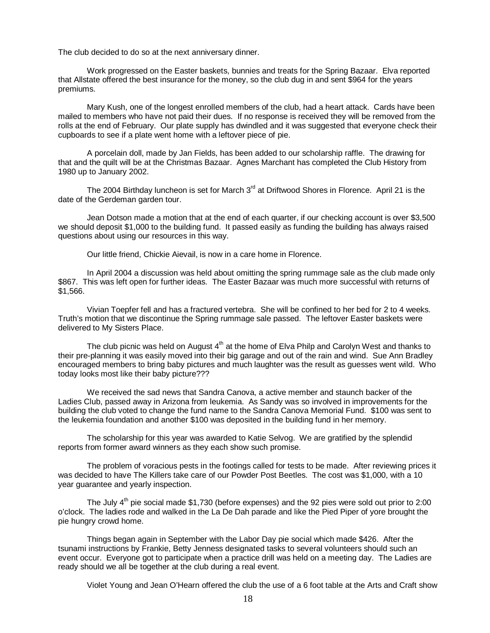The club decided to do so at the next anniversary dinner.

Work progressed on the Easter baskets, bunnies and treats for the Spring Bazaar. Elva reported that Allstate offered the best insurance for the money, so the club dug in and sent \$964 for the years premiums.

Mary Kush, one of the longest enrolled members of the club, had a heart attack. Cards have been mailed to members who have not paid their dues. If no response is received they will be removed from the rolls at the end of February. Our plate supply has dwindled and it was suggested that everyone check their cupboards to see if a plate went home with a leftover piece of pie.

A porcelain doll, made by Jan Fields, has been added to our scholarship raffle. The drawing for that and the quilt will be at the Christmas Bazaar. Agnes Marchant has completed the Club History from 1980 up to January 2002.

The 2004 Birthday luncheon is set for March  $3<sup>rd</sup>$  at Driftwood Shores in Florence. April 21 is the date of the Gerdeman garden tour.

Jean Dotson made a motion that at the end of each quarter, if our checking account is over \$3,500 we should deposit \$1,000 to the building fund. It passed easily as funding the building has always raised questions about using our resources in this way.

Our little friend, Chickie Aievail, is now in a care home in Florence.

In April 2004 a discussion was held about omitting the spring rummage sale as the club made only \$867. This was left open for further ideas. The Easter Bazaar was much more successful with returns of \$1,566.

Vivian Toepfer fell and has a fractured vertebra. She will be confined to her bed for 2 to 4 weeks. Truth's motion that we discontinue the Spring rummage sale passed. The leftover Easter baskets were delivered to My Sisters Place.

The club picnic was held on August  $4<sup>th</sup>$  at the home of Elva Philp and Carolyn West and thanks to their pre-planning it was easily moved into their big garage and out of the rain and wind. Sue Ann Bradley encouraged members to bring baby pictures and much laughter was the result as guesses went wild. Who today looks most like their baby picture???

We received the sad news that Sandra Canova, a active member and staunch backer of the Ladies Club, passed away in Arizona from leukemia. As Sandy was so involved in improvements for the building the club voted to change the fund name to the Sandra Canova Memorial Fund. \$100 was sent to the leukemia foundation and another \$100 was deposited in the building fund in her memory.

The scholarship for this year was awarded to Katie Selvog. We are gratified by the splendid reports from former award winners as they each show such promise.

The problem of voracious pests in the footings called for tests to be made. After reviewing prices it was decided to have The Killers take care of our Powder Post Beetles. The cost was \$1,000, with a 10 year guarantee and yearly inspection.

The July  $4<sup>th</sup>$  pie social made \$1,730 (before expenses) and the 92 pies were sold out prior to 2:00 o'clock. The ladies rode and walked in the La De Dah parade and like the Pied Piper of yore brought the pie hungry crowd home.

Things began again in September with the Labor Day pie social which made \$426. After the tsunami instructions by Frankie, Betty Jenness designated tasks to several volunteers should such an event occur. Everyone got to participate when a practice drill was held on a meeting day. The Ladies are ready should we all be together at the club during a real event.

Violet Young and Jean O'Hearn offered the club the use of a 6 foot table at the Arts and Craft show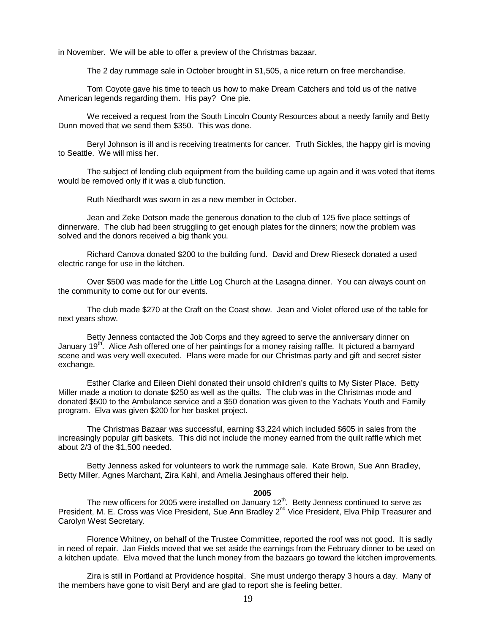in November. We will be able to offer a preview of the Christmas bazaar.

The 2 day rummage sale in October brought in \$1,505, a nice return on free merchandise.

Tom Coyote gave his time to teach us how to make Dream Catchers and told us of the native American legends regarding them. His pay? One pie.

We received a request from the South Lincoln County Resources about a needy family and Betty Dunn moved that we send them \$350. This was done.

Beryl Johnson is ill and is receiving treatments for cancer. Truth Sickles, the happy girl is moving to Seattle. We will miss her.

The subject of lending club equipment from the building came up again and it was voted that items would be removed only if it was a club function.

Ruth Niedhardt was sworn in as a new member in October.

Jean and Zeke Dotson made the generous donation to the club of 125 five place settings of dinnerware. The club had been struggling to get enough plates for the dinners; now the problem was solved and the donors received a big thank you.

Richard Canova donated \$200 to the building fund. David and Drew Rieseck donated a used electric range for use in the kitchen.

Over \$500 was made for the Little Log Church at the Lasagna dinner. You can always count on the community to come out for our events.

The club made \$270 at the Craft on the Coast show. Jean and Violet offered use of the table for next years show.

Betty Jenness contacted the Job Corps and they agreed to serve the anniversary dinner on January 19<sup>th</sup>. Alice Ash offered one of her paintings for a money raising raffle. It pictured a barnyard scene and was very well executed. Plans were made for our Christmas party and gift and secret sister exchange.

Esther Clarke and Eileen Diehl donated their unsold children's quilts to My Sister Place. Betty Miller made a motion to donate \$250 as well as the quilts. The club was in the Christmas mode and donated \$500 to the Ambulance service and a \$50 donation was given to the Yachats Youth and Family program. Elva was given \$200 for her basket project.

The Christmas Bazaar was successful, earning \$3,224 which included \$605 in sales from the increasingly popular gift baskets. This did not include the money earned from the quilt raffle which met about 2/3 of the \$1,500 needed.

Betty Jenness asked for volunteers to work the rummage sale. Kate Brown, Sue Ann Bradley, Betty Miller, Agnes Marchant, Zira Kahl, and Amelia Jesinghaus offered their help.

#### **2005**

The new officers for 2005 were installed on January  $12<sup>th</sup>$ . Betty Jenness continued to serve as President, M. E. Cross was Vice President, Sue Ann Bradley 2<sup>nd</sup> Vice President, Elva Philp Treasurer and Carolyn West Secretary.

Florence Whitney, on behalf of the Trustee Committee, reported the roof was not good. It is sadly in need of repair. Jan Fields moved that we set aside the earnings from the February dinner to be used on a kitchen update. Elva moved that the lunch money from the bazaars go toward the kitchen improvements.

Zira is still in Portland at Providence hospital. She must undergo therapy 3 hours a day. Many of the members have gone to visit Beryl and are glad to report she is feeling better.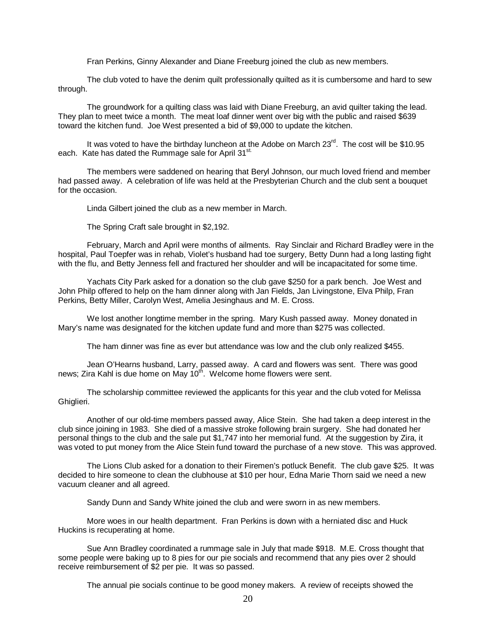Fran Perkins, Ginny Alexander and Diane Freeburg joined the club as new members.

The club voted to have the denim quilt professionally quilted as it is cumbersome and hard to sew through.

The groundwork for a quilting class was laid with Diane Freeburg, an avid quilter taking the lead. They plan to meet twice a month. The meat loaf dinner went over big with the public and raised \$639 toward the kitchen fund. Joe West presented a bid of \$9,000 to update the kitchen.

It was voted to have the birthday luncheon at the Adobe on March  $23^{\text{rd}}$ . The cost will be \$10.95 each. Kate has dated the Rummage sale for April 31<sup>st.</sup>

The members were saddened on hearing that Beryl Johnson, our much loved friend and member had passed away. A celebration of life was held at the Presbyterian Church and the club sent a bouquet for the occasion.

Linda Gilbert joined the club as a new member in March.

The Spring Craft sale brought in \$2,192.

February, March and April were months of ailments. Ray Sinclair and Richard Bradley were in the hospital, Paul Toepfer was in rehab, Violet's husband had toe surgery, Betty Dunn had a long lasting fight with the flu, and Betty Jenness fell and fractured her shoulder and will be incapacitated for some time.

Yachats City Park asked for a donation so the club gave \$250 for a park bench. Joe West and John Philp offered to help on the ham dinner along with Jan Fields, Jan Livingstone, Elva Philp, Fran Perkins, Betty Miller, Carolyn West, Amelia Jesinghaus and M. E. Cross.

We lost another longtime member in the spring. Mary Kush passed away. Money donated in Mary's name was designated for the kitchen update fund and more than \$275 was collected.

The ham dinner was fine as ever but attendance was low and the club only realized \$455.

Jean O'Hearns husband, Larry, passed away. A card and flowers was sent. There was good news; Zira Kahl is due home on May 10<sup>th</sup>. Welcome home flowers were sent.

The scholarship committee reviewed the applicants for this year and the club voted for Melissa Ghiglieri.

Another of our old-time members passed away, Alice Stein. She had taken a deep interest in the club since joining in 1983. She died of a massive stroke following brain surgery. She had donated her personal things to the club and the sale put \$1,747 into her memorial fund. At the suggestion by Zira, it was voted to put money from the Alice Stein fund toward the purchase of a new stove. This was approved.

The Lions Club asked for a donation to their Firemen's potluck Benefit. The club gave \$25. It was decided to hire someone to clean the clubhouse at \$10 per hour, Edna Marie Thorn said we need a new vacuum cleaner and all agreed.

Sandy Dunn and Sandy White joined the club and were sworn in as new members.

More woes in our health department. Fran Perkins is down with a herniated disc and Huck Huckins is recuperating at home.

Sue Ann Bradley coordinated a rummage sale in July that made \$918. M.E. Cross thought that some people were baking up to 8 pies for our pie socials and recommend that any pies over 2 should receive reimbursement of \$2 per pie. It was so passed.

The annual pie socials continue to be good money makers. A review of receipts showed the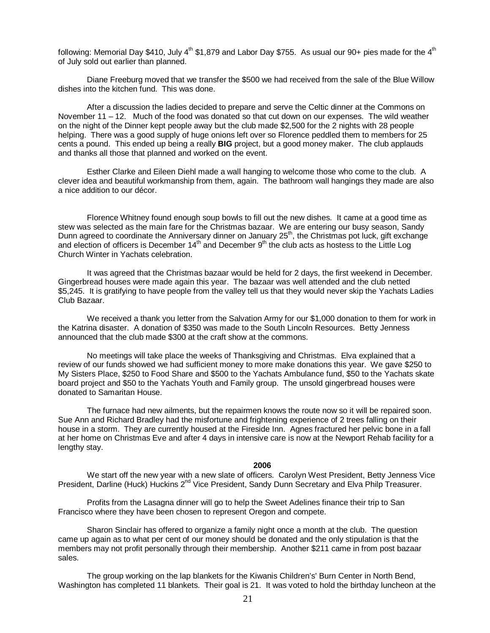following: Memorial Day \$410, July  $4^{th}$  \$1,879 and Labor Day \$755. As usual our 90+ pies made for the  $4^{th}$ of July sold out earlier than planned.

Diane Freeburg moved that we transfer the \$500 we had received from the sale of the Blue Willow dishes into the kitchen fund. This was done.

After a discussion the ladies decided to prepare and serve the Celtic dinner at the Commons on November 11 – 12. Much of the food was donated so that cut down on our expenses. The wild weather on the night of the Dinner kept people away but the club made \$2,500 for the 2 nights with 28 people helping. There was a good supply of huge onions left over so Florence peddled them to members for 25 cents a pound. This ended up being a really **BIG** project, but a good money maker. The club applauds and thanks all those that planned and worked on the event.

Esther Clarke and Eileen Diehl made a wall hanging to welcome those who come to the club. A clever idea and beautiful workmanship from them, again. The bathroom wall hangings they made are also a nice addition to our décor.

Florence Whitney found enough soup bowls to fill out the new dishes. It came at a good time as stew was selected as the main fare for the Christmas bazaar. We are entering our busy season, Sandy Dunn agreed to coordinate the Anniversary dinner on January 25<sup>th</sup>, the Christmas pot luck, gift exchange and election of officers is December 14<sup>th</sup> and December 9<sup>th</sup> the club acts as hostess to the Little Log Church Winter in Yachats celebration.

It was agreed that the Christmas bazaar would be held for 2 days, the first weekend in December. Gingerbread houses were made again this year. The bazaar was well attended and the club netted \$5,245. It is gratifying to have people from the valley tell us that they would never skip the Yachats Ladies Club Bazaar.

We received a thank you letter from the Salvation Army for our \$1,000 donation to them for work in the Katrina disaster. A donation of \$350 was made to the South Lincoln Resources. Betty Jenness announced that the club made \$300 at the craft show at the commons.

No meetings will take place the weeks of Thanksgiving and Christmas. Elva explained that a review of our funds showed we had sufficient money to more make donations this year. We gave \$250 to My Sisters Place, \$250 to Food Share and \$500 to the Yachats Ambulance fund, \$50 to the Yachats skate board project and \$50 to the Yachats Youth and Family group. The unsold gingerbread houses were donated to Samaritan House.

The furnace had new ailments, but the repairmen knows the route now so it will be repaired soon. Sue Ann and Richard Bradley had the misfortune and frightening experience of 2 trees falling on their house in a storm. They are currently housed at the Fireside Inn. Agnes fractured her pelvic bone in a fall at her home on Christmas Eve and after 4 days in intensive care is now at the Newport Rehab facility for a lengthy stay.

#### **2006**

We start off the new year with a new slate of officers. Carolyn West President, Betty Jenness Vice President, Darline (Huck) Huckins 2<sup>nd</sup> Vice President, Sandy Dunn Secretary and Elva Philp Treasurer.

Profits from the Lasagna dinner will go to help the Sweet Adelines finance their trip to San Francisco where they have been chosen to represent Oregon and compete.

Sharon Sinclair has offered to organize a family night once a month at the club. The question came up again as to what per cent of our money should be donated and the only stipulation is that the members may not profit personally through their membership. Another \$211 came in from post bazaar sales.

The group working on the lap blankets for the Kiwanis Children's' Burn Center in North Bend, Washington has completed 11 blankets. Their goal is 21. It was voted to hold the birthday luncheon at the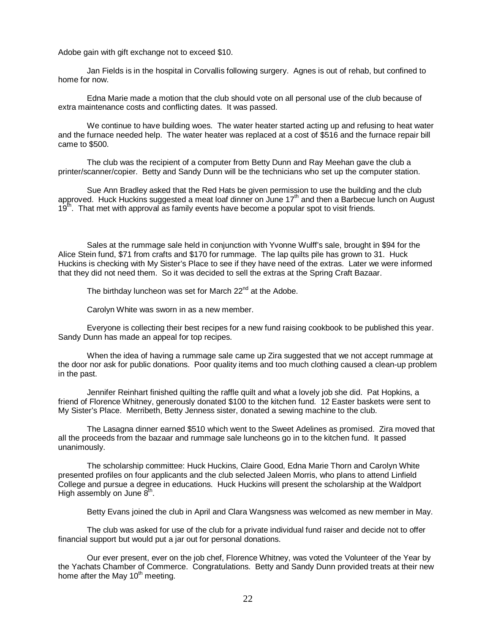Adobe gain with gift exchange not to exceed \$10.

Jan Fields is in the hospital in Corvallis following surgery. Agnes is out of rehab, but confined to home for now.

Edna Marie made a motion that the club should vote on all personal use of the club because of extra maintenance costs and conflicting dates. It was passed.

We continue to have building woes. The water heater started acting up and refusing to heat water and the furnace needed help. The water heater was replaced at a cost of \$516 and the furnace repair bill came to \$500.

The club was the recipient of a computer from Betty Dunn and Ray Meehan gave the club a printer/scanner/copier. Betty and Sandy Dunn will be the technicians who set up the computer station.

Sue Ann Bradley asked that the Red Hats be given permission to use the building and the club approved. Huck Huckins suggested a meat loaf dinner on June  $17<sup>th</sup>$  and then a Barbecue lunch on August 19<sup>th</sup>. That met with approval as family events have become a popular spot to visit friends.

Sales at the rummage sale held in conjunction with Yvonne Wulff's sale, brought in \$94 for the Alice Stein fund, \$71 from crafts and \$170 for rummage. The lap quilts pile has grown to 31. Huck Huckins is checking with My Sister's Place to see if they have need of the extras. Later we were informed that they did not need them. So it was decided to sell the extras at the Spring Craft Bazaar.

The birthday luncheon was set for March  $22<sup>nd</sup>$  at the Adobe.

Carolyn White was sworn in as a new member.

Everyone is collecting their best recipes for a new fund raising cookbook to be published this year. Sandy Dunn has made an appeal for top recipes.

When the idea of having a rummage sale came up Zira suggested that we not accept rummage at the door nor ask for public donations. Poor quality items and too much clothing caused a clean-up problem in the past.

Jennifer Reinhart finished quilting the raffle quilt and what a lovely job she did. Pat Hopkins, a friend of Florence Whitney, generously donated \$100 to the kitchen fund. 12 Easter baskets were sent to My Sister's Place. Merribeth, Betty Jenness sister, donated a sewing machine to the club.

The Lasagna dinner earned \$510 which went to the Sweet Adelines as promised. Zira moved that all the proceeds from the bazaar and rummage sale luncheons go in to the kitchen fund. It passed unanimously.

The scholarship committee: Huck Huckins, Claire Good, Edna Marie Thorn and Carolyn White presented profiles on four applicants and the club selected Jaleen Morris, who plans to attend Linfield College and pursue a degree in educations. Huck Huckins will present the scholarship at the Waldport High assembly on June  $8<sup>th</sup>$ .

Betty Evans joined the club in April and Clara Wangsness was welcomed as new member in May.

The club was asked for use of the club for a private individual fund raiser and decide not to offer financial support but would put a jar out for personal donations.

Our ever present, ever on the job chef, Florence Whitney, was voted the Volunteer of the Year by the Yachats Chamber of Commerce. Congratulations. Betty and Sandy Dunn provided treats at their new home after the May  $10<sup>th</sup>$  meeting.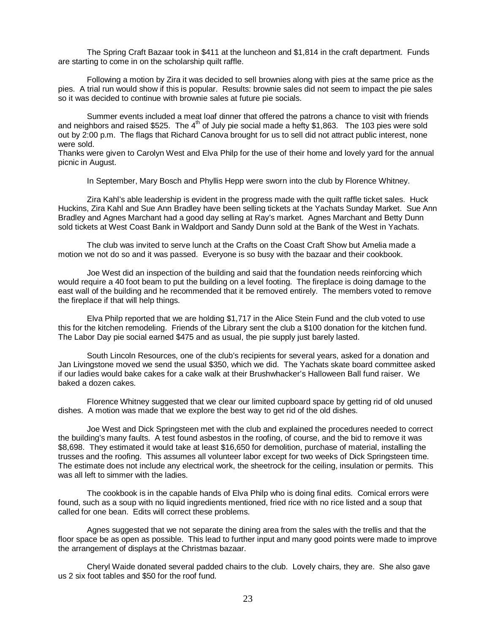The Spring Craft Bazaar took in \$411 at the luncheon and \$1,814 in the craft department. Funds are starting to come in on the scholarship quilt raffle.

Following a motion by Zira it was decided to sell brownies along with pies at the same price as the pies. A trial run would show if this is popular. Results: brownie sales did not seem to impact the pie sales so it was decided to continue with brownie sales at future pie socials.

Summer events included a meat loaf dinner that offered the patrons a chance to visit with friends and neighbors and raised \$525. The  $4<sup>th</sup>$  of July pie social made a hefty \$1,863. The 103 pies were sold out by 2:00 p.m. The flags that Richard Canova brought for us to sell did not attract public interest, none were sold.

Thanks were given to Carolyn West and Elva Philp for the use of their home and lovely yard for the annual picnic in August.

In September, Mary Bosch and Phyllis Hepp were sworn into the club by Florence Whitney.

Zira Kahl's able leadership is evident in the progress made with the quilt raffle ticket sales. Huck Huckins, Zira Kahl and Sue Ann Bradley have been selling tickets at the Yachats Sunday Market. Sue Ann Bradley and Agnes Marchant had a good day selling at Ray's market. Agnes Marchant and Betty Dunn sold tickets at West Coast Bank in Waldport and Sandy Dunn sold at the Bank of the West in Yachats.

The club was invited to serve lunch at the Crafts on the Coast Craft Show but Amelia made a motion we not do so and it was passed. Everyone is so busy with the bazaar and their cookbook.

Joe West did an inspection of the building and said that the foundation needs reinforcing which would require a 40 foot beam to put the building on a level footing. The fireplace is doing damage to the east wall of the building and he recommended that it be removed entirely. The members voted to remove the fireplace if that will help things.

Elva Philp reported that we are holding \$1,717 in the Alice Stein Fund and the club voted to use this for the kitchen remodeling. Friends of the Library sent the club a \$100 donation for the kitchen fund. The Labor Day pie social earned \$475 and as usual, the pie supply just barely lasted.

South Lincoln Resources, one of the club's recipients for several years, asked for a donation and Jan Livingstone moved we send the usual \$350, which we did. The Yachats skate board committee asked if our ladies would bake cakes for a cake walk at their Brushwhacker's Halloween Ball fund raiser. We baked a dozen cakes.

Florence Whitney suggested that we clear our limited cupboard space by getting rid of old unused dishes. A motion was made that we explore the best way to get rid of the old dishes.

Joe West and Dick Springsteen met with the club and explained the procedures needed to correct the building's many faults. A test found asbestos in the roofing, of course, and the bid to remove it was \$8,698. They estimated it would take at least \$16,650 for demolition, purchase of material, installing the trusses and the roofing. This assumes all volunteer labor except for two weeks of Dick Springsteen time. The estimate does not include any electrical work, the sheetrock for the ceiling, insulation or permits. This was all left to simmer with the ladies.

The cookbook is in the capable hands of Elva Philp who is doing final edits. Comical errors were found, such as a soup with no liquid ingredients mentioned, fried rice with no rice listed and a soup that called for one bean. Edits will correct these problems.

Agnes suggested that we not separate the dining area from the sales with the trellis and that the floor space be as open as possible. This lead to further input and many good points were made to improve the arrangement of displays at the Christmas bazaar.

Cheryl Waide donated several padded chairs to the club. Lovely chairs, they are. She also gave us 2 six foot tables and \$50 for the roof fund.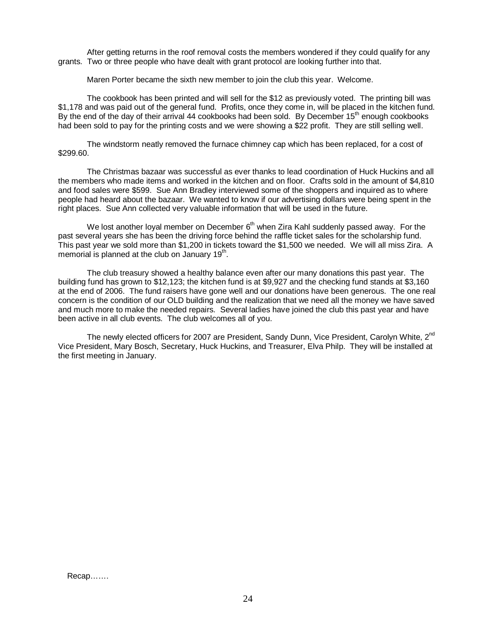After getting returns in the roof removal costs the members wondered if they could qualify for any grants. Two or three people who have dealt with grant protocol are looking further into that.

Maren Porter became the sixth new member to join the club this year. Welcome.

The cookbook has been printed and will sell for the \$12 as previously voted. The printing bill was \$1,178 and was paid out of the general fund. Profits, once they come in, will be placed in the kitchen fund. By the end of the day of their arrival 44 cookbooks had been sold. By December 15<sup>th</sup> enough cookbooks had been sold to pay for the printing costs and we were showing a \$22 profit. They are still selling well.

The windstorm neatly removed the furnace chimney cap which has been replaced, for a cost of \$299.60.

The Christmas bazaar was successful as ever thanks to lead coordination of Huck Huckins and all the members who made items and worked in the kitchen and on floor. Crafts sold in the amount of \$4,810 and food sales were \$599. Sue Ann Bradley interviewed some of the shoppers and inquired as to where people had heard about the bazaar. We wanted to know if our advertising dollars were being spent in the right places. Sue Ann collected very valuable information that will be used in the future.

We lost another loyal member on December  $6<sup>th</sup>$  when Zira Kahl suddenly passed away. For the past several years she has been the driving force behind the raffle ticket sales for the scholarship fund. This past year we sold more than \$1,200 in tickets toward the \$1,500 we needed. We will all miss Zira. A memorial is planned at the club on January  $19<sup>th</sup>$ .

The club treasury showed a healthy balance even after our many donations this past year. The building fund has grown to \$12,123; the kitchen fund is at \$9,927 and the checking fund stands at \$3,160 at the end of 2006. The fund raisers have gone well and our donations have been generous. The one real concern is the condition of our OLD building and the realization that we need all the money we have saved and much more to make the needed repairs. Several ladies have joined the club this past year and have been active in all club events. The club welcomes all of you.

The newly elected officers for 2007 are President, Sandy Dunn, Vice President, Carolyn White, 2<sup>nd</sup> Vice President, Mary Bosch, Secretary, Huck Huckins, and Treasurer, Elva Philp. They will be installed at the first meeting in January.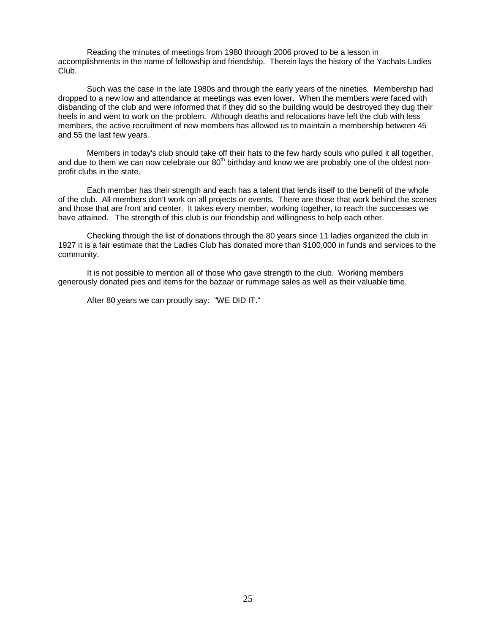Reading the minutes of meetings from 1980 through 2006 proved to be a lesson in accomplishments in the name of fellowship and friendship. Therein lays the history of the Yachats Ladies Club.

Such was the case in the late 1980s and through the early years of the nineties. Membership had dropped to a new low and attendance at meetings was even lower. When the members were faced with disbanding of the club and were informed that if they did so the building would be destroyed they dug their heels in and went to work on the problem. Although deaths and relocations have left the club with less members, the active recruitment of new members has allowed us to maintain a membership between 45 and 55 the last few years.

Members in today's club should take off their hats to the few hardy souls who pulled it all together, and due to them we can now celebrate our  $80<sup>th</sup>$  birthday and know we are probably one of the oldest nonprofit clubs in the state.

Each member has their strength and each has a talent that lends itself to the benefit of the whole of the club. All members don't work on all projects or events. There are those that work behind the scenes and those that are front and center. It takes every member, working together, to reach the successes we have attained. The strength of this club is our friendship and willingness to help each other.

Checking through the list of donations through the 80 years since 11 ladies organized the club in 1927 it is a fair estimate that the Ladies Club has donated more than \$100,000 in funds and services to the community.

It is not possible to mention all of those who gave strength to the club. Working members generously donated pies and items for the bazaar or rummage sales as well as their valuable time.

After 80 years we can proudly say: "WE DID IT."